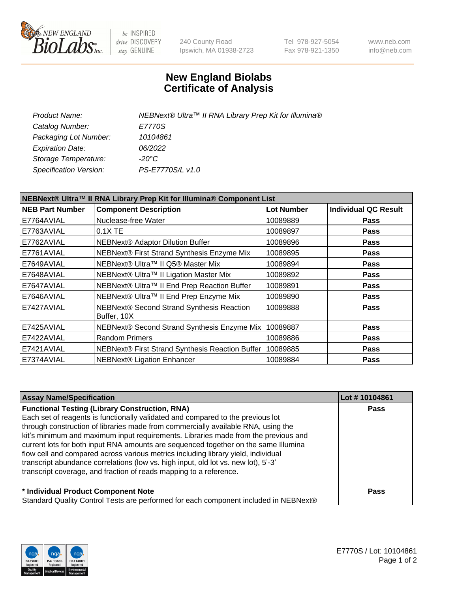

be INSPIRED drive DISCOVERY stay GENUINE

240 County Road Ipswich, MA 01938-2723 Tel 978-927-5054 Fax 978-921-1350 www.neb.com info@neb.com

## **New England Biolabs Certificate of Analysis**

| Product Name:           | NEBNext® Ultra™ II RNA Library Prep Kit for Illumina® |
|-------------------------|-------------------------------------------------------|
| Catalog Number:         | E7770S                                                |
| Packaging Lot Number:   | 10104861                                              |
| <b>Expiration Date:</b> | 06/2022                                               |
| Storage Temperature:    | -20°C                                                 |
| Specification Version:  | PS-E7770S/L v1.0                                      |
|                         |                                                       |

| NEBNext® Ultra™ II RNA Library Prep Kit for Illumina® Component List |                                                            |                   |                             |  |
|----------------------------------------------------------------------|------------------------------------------------------------|-------------------|-----------------------------|--|
| <b>NEB Part Number</b>                                               | <b>Component Description</b>                               | <b>Lot Number</b> | <b>Individual QC Result</b> |  |
| E7764AVIAL                                                           | Nuclease-free Water                                        | 10089889          | <b>Pass</b>                 |  |
| E7763AVIAL                                                           | $0.1X$ TE                                                  | 10089897          | <b>Pass</b>                 |  |
| E7762AVIAL                                                           | <b>NEBNext® Adaptor Dilution Buffer</b>                    | 10089896          | <b>Pass</b>                 |  |
| E7761AVIAL                                                           | NEBNext® First Strand Synthesis Enzyme Mix                 | 10089895          | <b>Pass</b>                 |  |
| E7649AVIAL                                                           | NEBNext® Ultra™ II Q5® Master Mix                          | 10089894          | <b>Pass</b>                 |  |
| E7648AVIAL                                                           | NEBNext® Ultra™ II Ligation Master Mix                     | 10089892          | <b>Pass</b>                 |  |
| E7647AVIAL                                                           | NEBNext® Ultra™ II End Prep Reaction Buffer                | 10089891          | <b>Pass</b>                 |  |
| E7646AVIAL                                                           | NEBNext® Ultra™ II End Prep Enzyme Mix                     | 10089890          | <b>Pass</b>                 |  |
| E7427AVIAL                                                           | NEBNext® Second Strand Synthesis Reaction<br>Buffer, 10X   | 10089888          | <b>Pass</b>                 |  |
| E7425AVIAL                                                           | NEBNext® Second Strand Synthesis Enzyme Mix                | 10089887          | <b>Pass</b>                 |  |
| E7422AVIAL                                                           | <b>Random Primers</b>                                      | 10089886          | <b>Pass</b>                 |  |
| E7421AVIAL                                                           | NEBNext® First Strand Synthesis Reaction Buffer   10089885 |                   | <b>Pass</b>                 |  |
| E7374AVIAL                                                           | NEBNext® Ligation Enhancer                                 | 10089884          | <b>Pass</b>                 |  |

| <b>Assay Name/Specification</b>                                                      | Lot #10104861 |
|--------------------------------------------------------------------------------------|---------------|
| <b>Functional Testing (Library Construction, RNA)</b>                                | <b>Pass</b>   |
| Each set of reagents is functionally validated and compared to the previous lot      |               |
| through construction of libraries made from commercially available RNA, using the    |               |
| kit's minimum and maximum input requirements. Libraries made from the previous and   |               |
| current lots for both input RNA amounts are sequenced together on the same Illumina  |               |
| flow cell and compared across various metrics including library yield, individual    |               |
| transcript abundance correlations (low vs. high input, old lot vs. new lot), 5'-3'   |               |
| transcript coverage, and fraction of reads mapping to a reference.                   |               |
| * Individual Product Component Note                                                  | <b>Pass</b>   |
| Standard Quality Control Tests are performed for each component included in NEBNext® |               |